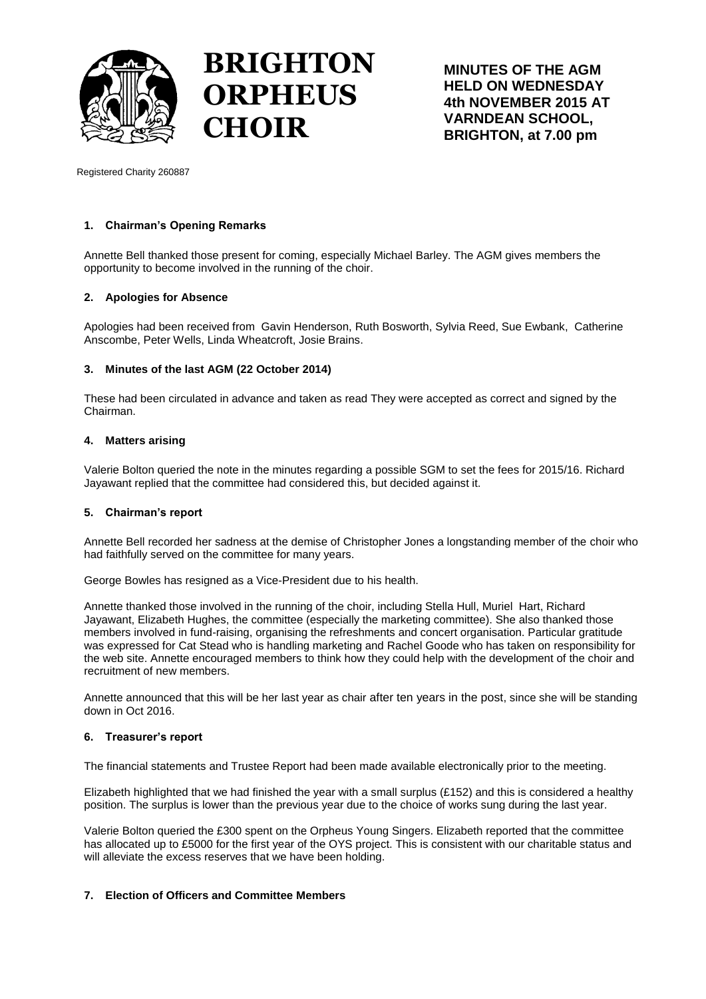

# **BRIGHTON ORPHEUS CHOIR**

**MINUTES OF THE AGM HELD ON WEDNESDAY 4th NOVEMBER 2015 AT VARNDEAN SCHOOL, BRIGHTON, at 7.00 pm**

Registered Charity 260887

## **1. Chairman's Opening Remarks**

Annette Bell thanked those present for coming, especially Michael Barley. The AGM gives members the opportunity to become involved in the running of the choir.

## **2. Apologies for Absence**

Apologies had been received from Gavin Henderson, Ruth Bosworth, Sylvia Reed, Sue Ewbank, Catherine Anscombe, Peter Wells, Linda Wheatcroft, Josie Brains.

### **3. Minutes of the last AGM (22 October 2014)**

These had been circulated in advance and taken as read They were accepted as correct and signed by the Chairman.

### **4. Matters arising**

Valerie Bolton queried the note in the minutes regarding a possible SGM to set the fees for 2015/16. Richard Jayawant replied that the committee had considered this, but decided against it.

### **5. Chairman's report**

Annette Bell recorded her sadness at the demise of Christopher Jones a longstanding member of the choir who had faithfully served on the committee for many years.

George Bowles has resigned as a Vice-President due to his health.

Annette thanked those involved in the running of the choir, including Stella Hull, Muriel Hart, Richard Jayawant, Elizabeth Hughes, the committee (especially the marketing committee). She also thanked those members involved in fund-raising, organising the refreshments and concert organisation. Particular gratitude was expressed for Cat Stead who is handling marketing and Rachel Goode who has taken on responsibility for the web site. Annette encouraged members to think how they could help with the development of the choir and recruitment of new members.

Annette announced that this will be her last year as chair after ten years in the post, since she will be standing down in Oct 2016.

### **6. Treasurer's report**

The financial statements and Trustee Report had been made available electronically prior to the meeting.

Elizabeth highlighted that we had finished the year with a small surplus (£152) and this is considered a healthy position. The surplus is lower than the previous year due to the choice of works sung during the last year.

Valerie Bolton queried the £300 spent on the Orpheus Young Singers. Elizabeth reported that the committee has allocated up to £5000 for the first year of the OYS project. This is consistent with our charitable status and will alleviate the excess reserves that we have been holding.

## **7. Election of Officers and Committee Members**